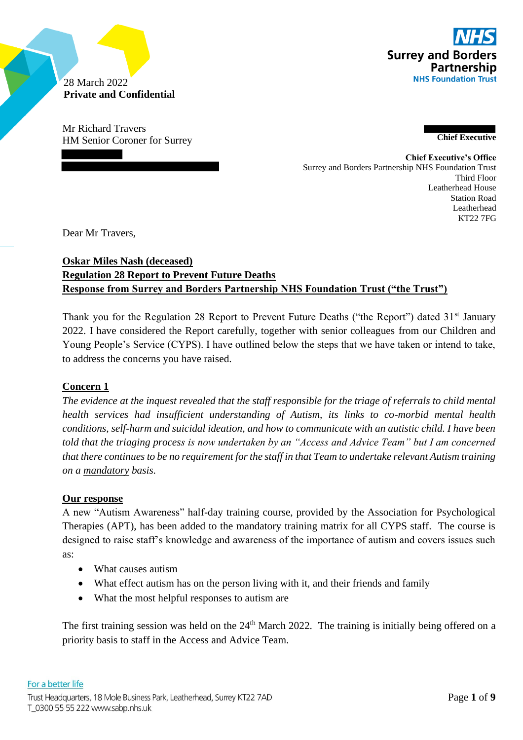

28 March 2022 **Private and Confidential**

Mr Richard Travers HM Senior Coroner for Surrey **Chief Executive**

> **Chief Executive's Office** Surrey and Borders Partnership NHS Foundation Trust Third Floor Leatherhead House Station Road Leatherhead KT22 7FG

Dear Mr Travers,

# **Oskar Miles Nash (deceased) Regulation 28 Report to Prevent Future Deaths Response from Surrey and Borders Partnership NHS Foundation Trust ("the Trust")**

Thank you for the Regulation 28 Report to Prevent Future Deaths ("the Report") dated 31<sup>st</sup> January 2022. I have considered the Report carefully, together with senior colleagues from our Children and Young People's Service (CYPS). I have outlined below the steps that we have taken or intend to take, to address the concerns you have raised.

# **Concern 1**

*The evidence at the inquest revealed that the staff responsible for the triage of referrals to child mental health services had insufficient understanding of Autism, its links to co-morbid mental health conditions, self-harm and suicidal ideation, and how to communicate with an autistic child. I have been told that the triaging process is now undertaken by an "Access and Advice Team" but I am concerned that there continues to be no requirement for the staff in that Team to undertake relevant Autism training on a mandatory basis.*

# **Our response**

A new "Autism Awareness" half-day training course, provided by the Association for Psychological Therapies (APT), has been added to the mandatory training matrix for all CYPS staff. The course is designed to raise staff's knowledge and awareness of the importance of autism and covers issues such as:

- What causes autism
- What effect autism has on the person living with it, and their friends and family
- What the most helpful responses to autism are

The first training session was held on the  $24<sup>th</sup>$  March 2022. The training is initially being offered on a priority basis to staff in the Access and Advice Team.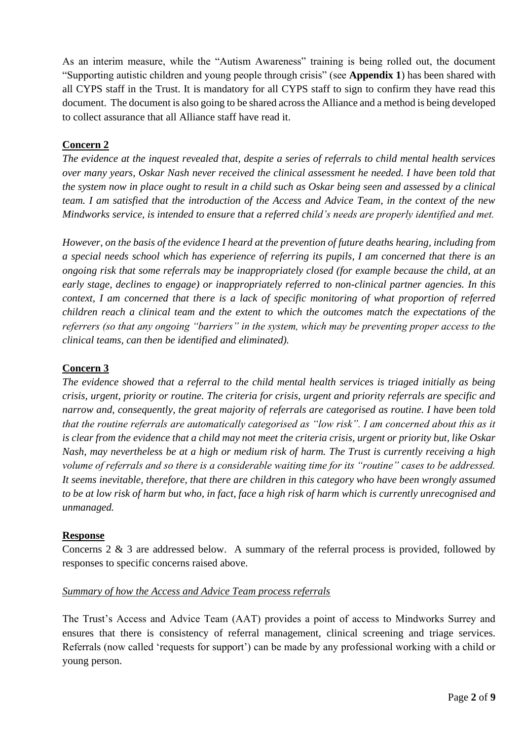As an interim measure, while the "Autism Awareness" training is being rolled out, the document "Supporting autistic children and young people through crisis" (see **Appendix 1**) has been shared with all CYPS staff in the Trust. It is mandatory for all CYPS staff to sign to confirm they have read this document. The document is also going to be shared across the Alliance and a method is being developed to collect assurance that all Alliance staff have read it.

### **Concern 2**

*The evidence at the inquest revealed that, despite a series of referrals to child mental health services over many years, Oskar Nash never received the clinical assessment he needed. I have been told that the system now in place ought to result in a child such as Oskar being seen and assessed by a clinical team. I am satisfied that the introduction of the Access and Advice Team, in the context of the new Mindworks service, is intended to ensure that a referred child's needs are properly identified and met.* 

*However, on the basis of the evidence I heard at the prevention of future deaths hearing, including from a special needs school which has experience of referring its pupils, I am concerned that there is an ongoing risk that some referrals may be inappropriately closed (for example because the child, at an early stage, declines to engage) or inappropriately referred to non-clinical partner agencies. In this context, I am concerned that there is a lack of specific monitoring of what proportion of referred children reach a clinical team and the extent to which the outcomes match the expectations of the referrers (so that any ongoing "barriers" in the system, which may be preventing proper access to the clinical teams, can then be identified and eliminated).*

# **Concern 3**

*The evidence showed that a referral to the child mental health services is triaged initially as being crisis, urgent, priority or routine. The criteria for crisis, urgent and priority referrals are specific and narrow and, consequently, the great majority of referrals are categorised as routine. I have been told that the routine referrals are automatically categorised as "low risk". I am concerned about this as it is clear from the evidence that a child may not meet the criteria crisis, urgent or priority but, like Oskar Nash, may nevertheless be at a high or medium risk of harm. The Trust is currently receiving a high volume of referrals and so there is a considerable waiting time for its "routine" cases to be addressed. It seems inevitable, therefore, that there are children in this category who have been wrongly assumed to be at low risk of harm but who, in fact, face a high risk of harm which is currently unrecognised and unmanaged.*

#### **Response**

Concerns 2 & 3 are addressed below. A summary of the referral process is provided, followed by responses to specific concerns raised above.

#### *Summary of how the Access and Advice Team process referrals*

The Trust's Access and Advice Team (AAT) provides a point of access to Mindworks Surrey and ensures that there is consistency of referral management, clinical screening and triage services. Referrals (now called 'requests for support') can be made by any professional working with a child or young person.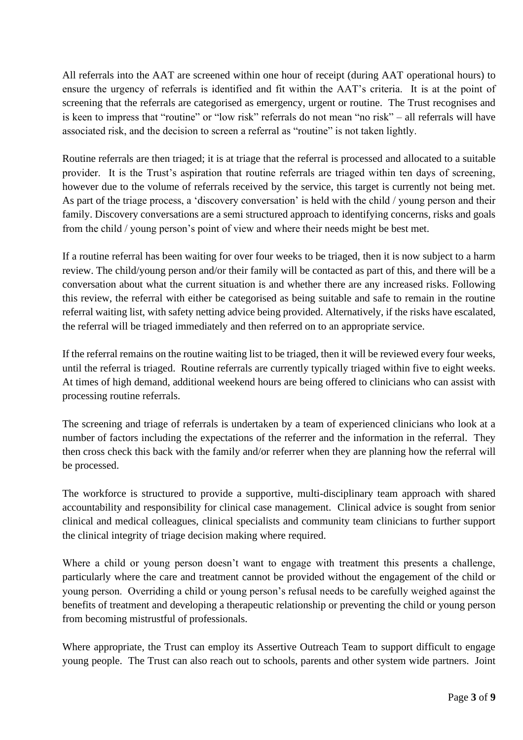All referrals into the AAT are screened within one hour of receipt (during AAT operational hours) to ensure the urgency of referrals is identified and fit within the AAT's criteria. It is at the point of screening that the referrals are categorised as emergency, urgent or routine. The Trust recognises and is keen to impress that "routine" or "low risk" referrals do not mean "no risk" – all referrals will have associated risk, and the decision to screen a referral as "routine" is not taken lightly.

Routine referrals are then triaged; it is at triage that the referral is processed and allocated to a suitable provider. It is the Trust's aspiration that routine referrals are triaged within ten days of screening, however due to the volume of referrals received by the service, this target is currently not being met. As part of the triage process, a 'discovery conversation' is held with the child / young person and their family. Discovery conversations are a semi structured approach to identifying concerns, risks and goals from the child / young person's point of view and where their needs might be best met.

If a routine referral has been waiting for over four weeks to be triaged, then it is now subject to a harm review. The child/young person and/or their family will be contacted as part of this, and there will be a conversation about what the current situation is and whether there are any increased risks. Following this review, the referral with either be categorised as being suitable and safe to remain in the routine referral waiting list, with safety netting advice being provided. Alternatively, if the risks have escalated, the referral will be triaged immediately and then referred on to an appropriate service.

If the referral remains on the routine waiting list to be triaged, then it will be reviewed every four weeks, until the referral is triaged. Routine referrals are currently typically triaged within five to eight weeks. At times of high demand, additional weekend hours are being offered to clinicians who can assist with processing routine referrals.

The screening and triage of referrals is undertaken by a team of experienced clinicians who look at a number of factors including the expectations of the referrer and the information in the referral. They then cross check this back with the family and/or referrer when they are planning how the referral will be processed.

The workforce is structured to provide a supportive, multi-disciplinary team approach with shared accountability and responsibility for clinical case management. Clinical advice is sought from senior clinical and medical colleagues, clinical specialists and community team clinicians to further support the clinical integrity of triage decision making where required.

Where a child or young person doesn't want to engage with treatment this presents a challenge, particularly where the care and treatment cannot be provided without the engagement of the child or young person. Overriding a child or young person's refusal needs to be carefully weighed against the benefits of treatment and developing a therapeutic relationship or preventing the child or young person from becoming mistrustful of professionals.

Where appropriate, the Trust can employ its Assertive Outreach Team to support difficult to engage young people. The Trust can also reach out to schools, parents and other system wide partners. Joint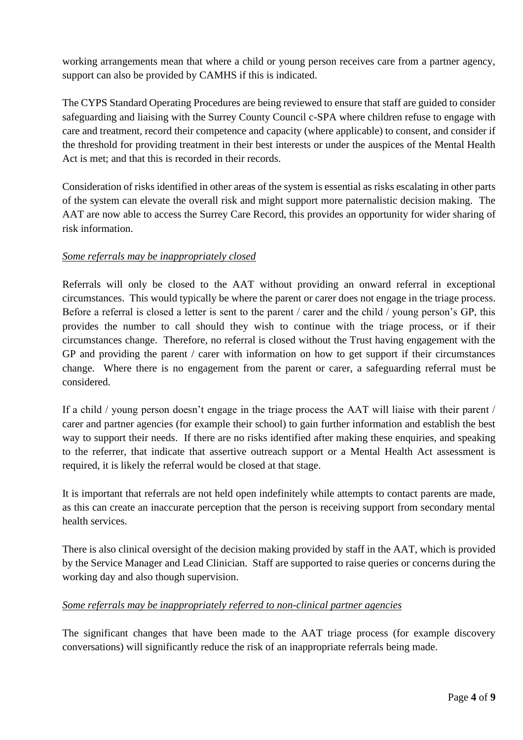working arrangements mean that where a child or young person receives care from a partner agency, support can also be provided by CAMHS if this is indicated.

The CYPS Standard Operating Procedures are being reviewed to ensure that staff are guided to consider safeguarding and liaising with the Surrey County Council c-SPA where children refuse to engage with care and treatment, record their competence and capacity (where applicable) to consent, and consider if the threshold for providing treatment in their best interests or under the auspices of the Mental Health Act is met; and that this is recorded in their records.

Consideration of risks identified in other areas of the system is essential as risks escalating in other parts of the system can elevate the overall risk and might support more paternalistic decision making. The AAT are now able to access the Surrey Care Record, this provides an opportunity for wider sharing of risk information.

#### *Some referrals may be inappropriately closed*

Referrals will only be closed to the AAT without providing an onward referral in exceptional circumstances. This would typically be where the parent or carer does not engage in the triage process. Before a referral is closed a letter is sent to the parent / carer and the child / young person's GP, this provides the number to call should they wish to continue with the triage process, or if their circumstances change. Therefore, no referral is closed without the Trust having engagement with the GP and providing the parent / carer with information on how to get support if their circumstances change. Where there is no engagement from the parent or carer, a safeguarding referral must be considered.

If a child / young person doesn't engage in the triage process the AAT will liaise with their parent / carer and partner agencies (for example their school) to gain further information and establish the best way to support their needs. If there are no risks identified after making these enquiries, and speaking to the referrer, that indicate that assertive outreach support or a Mental Health Act assessment is required, it is likely the referral would be closed at that stage.

It is important that referrals are not held open indefinitely while attempts to contact parents are made, as this can create an inaccurate perception that the person is receiving support from secondary mental health services.

There is also clinical oversight of the decision making provided by staff in the AAT, which is provided by the Service Manager and Lead Clinician. Staff are supported to raise queries or concerns during the working day and also though supervision.

#### *Some referrals may be inappropriately referred to non-clinical partner agencies*

The significant changes that have been made to the AAT triage process (for example discovery conversations) will significantly reduce the risk of an inappropriate referrals being made.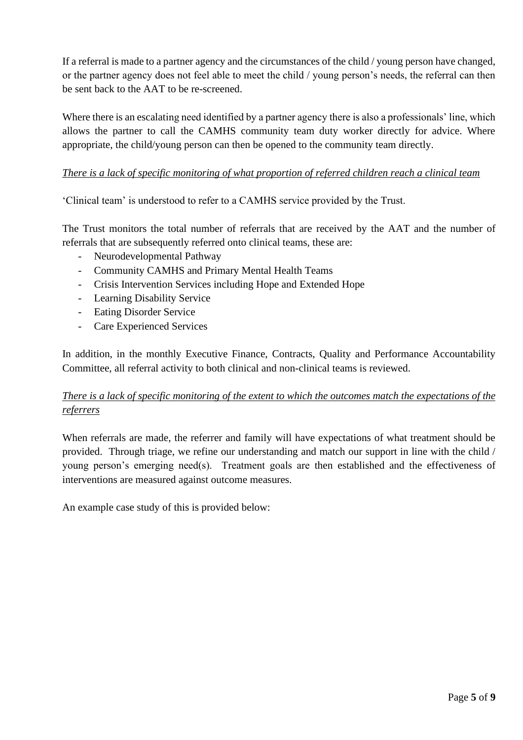If a referral is made to a partner agency and the circumstances of the child / young person have changed, or the partner agency does not feel able to meet the child / young person's needs, the referral can then be sent back to the AAT to be re-screened.

Where there is an escalating need identified by a partner agency there is also a professionals' line, which allows the partner to call the CAMHS community team duty worker directly for advice. Where appropriate, the child/young person can then be opened to the community team directly.

# *There is a lack of specific monitoring of what proportion of referred children reach a clinical team*

'Clinical team' is understood to refer to a CAMHS service provided by the Trust.

The Trust monitors the total number of referrals that are received by the AAT and the number of referrals that are subsequently referred onto clinical teams, these are:

- Neurodevelopmental Pathway
- Community CAMHS and Primary Mental Health Teams
- Crisis Intervention Services including Hope and Extended Hope
- Learning Disability Service
- Eating Disorder Service
- Care Experienced Services

In addition, in the monthly Executive Finance, Contracts, Quality and Performance Accountability Committee, all referral activity to both clinical and non-clinical teams is reviewed.

# *There is a lack of specific monitoring of the extent to which the outcomes match the expectations of the referrers*

When referrals are made, the referrer and family will have expectations of what treatment should be provided. Through triage, we refine our understanding and match our support in line with the child / young person's emerging need(s). Treatment goals are then established and the effectiveness of interventions are measured against outcome measures.

An example case study of this is provided below: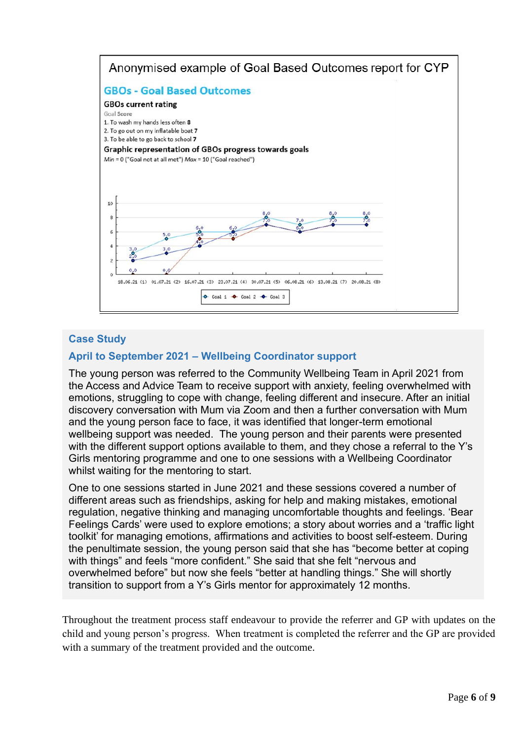

#### **Case Study**

#### **April to September 2021 – Wellbeing Coordinator support**

The young person was referred to the Community Wellbeing Team in April 2021 from the Access and Advice Team to receive support with anxiety, feeling overwhelmed with emotions, struggling to cope with change, feeling different and insecure. After an initial discovery conversation with Mum via Zoom and then a further conversation with Mum and the young person face to face, it was identified that longer-term emotional wellbeing support was needed. The young person and their parents were presented with the different support options available to them, and they chose a referral to the Y's Girls mentoring programme and one to one sessions with a Wellbeing Coordinator whilst waiting for the mentoring to start.

One to one sessions started in June 2021 and these sessions covered a number of different areas such as friendships, asking for help and making mistakes, emotional regulation, negative thinking and managing uncomfortable thoughts and feelings. 'Bear Feelings Cards' were used to explore emotions; a story about worries and a 'traffic light toolkit' for managing emotions, affirmations and activities to boost self-esteem. During the penultimate session, the young person said that she has "become better at coping with things" and feels "more confident." She said that she felt "nervous and overwhelmed before" but now she feels "better at handling things." She will shortly transition to support from a Y's Girls mentor for approximately 12 months.

Throughout the treatment process staff endeavour to provide the referrer and GP with updates on the child and young person's progress. When treatment is completed the referrer and the GP are provided with a summary of the treatment provided and the outcome.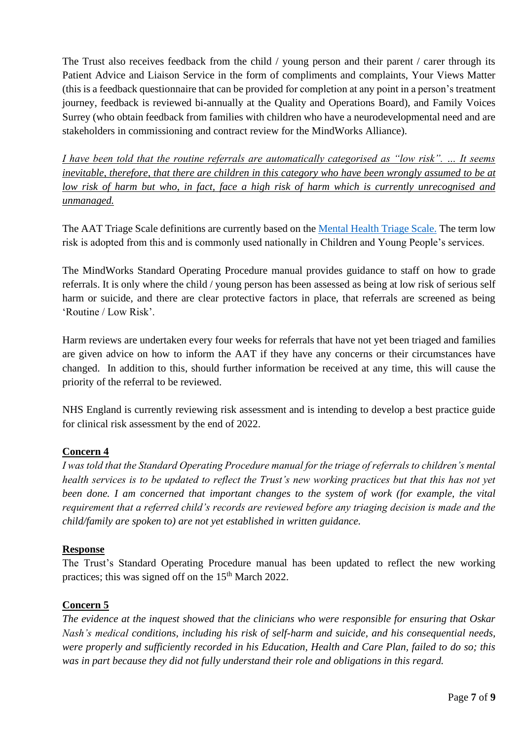The Trust also receives feedback from the child / young person and their parent / carer through its Patient Advice and Liaison Service in the form of compliments and complaints, Your Views Matter (this is a feedback questionnaire that can be provided for completion at any point in a person's treatment journey, feedback is reviewed bi-annually at the Quality and Operations Board), and Family Voices Surrey (who obtain feedback from families with children who have a neurodevelopmental need and are stakeholders in commissioning and contract review for the MindWorks Alliance).

*I have been told that the routine referrals are automatically categorised as "low risk". … It seems inevitable, therefore, that there are children in this category who have been wrongly assumed to be at low risk of harm but who, in fact, face a high risk of harm which is currently unrecognised and unmanaged.* 

The AAT Triage Scale definitions are currently based on the [Mental Health Triage Scale.](https://ukmentalhealthtriagescale.org/uk-mental-health-triage-scale/) The term low risk is adopted from this and is commonly used nationally in Children and Young People's services.

The MindWorks Standard Operating Procedure manual provides guidance to staff on how to grade referrals. It is only where the child / young person has been assessed as being at low risk of serious self harm or suicide, and there are clear protective factors in place, that referrals are screened as being 'Routine / Low Risk'.

Harm reviews are undertaken every four weeks for referrals that have not yet been triaged and families are given advice on how to inform the AAT if they have any concerns or their circumstances have changed. In addition to this, should further information be received at any time, this will cause the priority of the referral to be reviewed.

NHS England is currently reviewing risk assessment and is intending to develop a best practice guide for clinical risk assessment by the end of 2022.

# **Concern 4**

*I was told that the Standard Operating Procedure manual for the triage of referrals to children's mental health services is to be updated to reflect the Trust's new working practices but that this has not yet been done. I am concerned that important changes to the system of work (for example, the vital requirement that a referred child's records are reviewed before any triaging decision is made and the child/family are spoken to) are not yet established in written guidance.* 

# **Response**

The Trust's Standard Operating Procedure manual has been updated to reflect the new working practices; this was signed off on the  $15<sup>th</sup>$  March 2022.

# **Concern 5**

*The evidence at the inquest showed that the clinicians who were responsible for ensuring that Oskar Nash's medical conditions, including his risk of self-harm and suicide, and his consequential needs, were properly and sufficiently recorded in his Education, Health and Care Plan, failed to do so; this was in part because they did not fully understand their role and obligations in this regard.*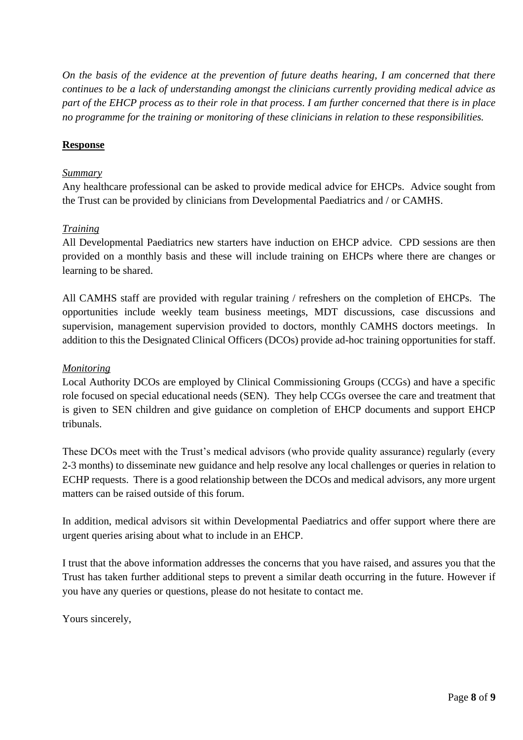*On the basis of the evidence at the prevention of future deaths hearing, I am concerned that there continues to be a lack of understanding amongst the clinicians currently providing medical advice as part of the EHCP process as to their role in that process. I am further concerned that there is in place no programme for the training or monitoring of these clinicians in relation to these responsibilities.*

#### **Response**

#### *Summary*

Any healthcare professional can be asked to provide medical advice for EHCPs. Advice sought from the Trust can be provided by clinicians from Developmental Paediatrics and / or CAMHS.

#### *Training*

All Developmental Paediatrics new starters have induction on EHCP advice. CPD sessions are then provided on a monthly basis and these will include training on EHCPs where there are changes or learning to be shared.

All CAMHS staff are provided with regular training / refreshers on the completion of EHCPs. The opportunities include weekly team business meetings, MDT discussions, case discussions and supervision, management supervision provided to doctors, monthly CAMHS doctors meetings. In addition to this the Designated Clinical Officers (DCOs) provide ad-hoc training opportunities for staff.

#### *Monitoring*

Local Authority DCOs are employed by Clinical Commissioning Groups (CCGs) and have a specific role focused on special educational needs (SEN). They help CCGs oversee the care and treatment that is given to SEN children and give guidance on completion of EHCP documents and support EHCP tribunals.

These DCOs meet with the Trust's medical advisors (who provide quality assurance) regularly (every 2-3 months) to disseminate new guidance and help resolve any local challenges or queries in relation to ECHP requests. There is a good relationship between the DCOs and medical advisors, any more urgent matters can be raised outside of this forum.

In addition, medical advisors sit within Developmental Paediatrics and offer support where there are urgent queries arising about what to include in an EHCP.

I trust that the above information addresses the concerns that you have raised, and assures you that the Trust has taken further additional steps to prevent a similar death occurring in the future. However if you have any queries or questions, please do not hesitate to contact me.

Yours sincerely,